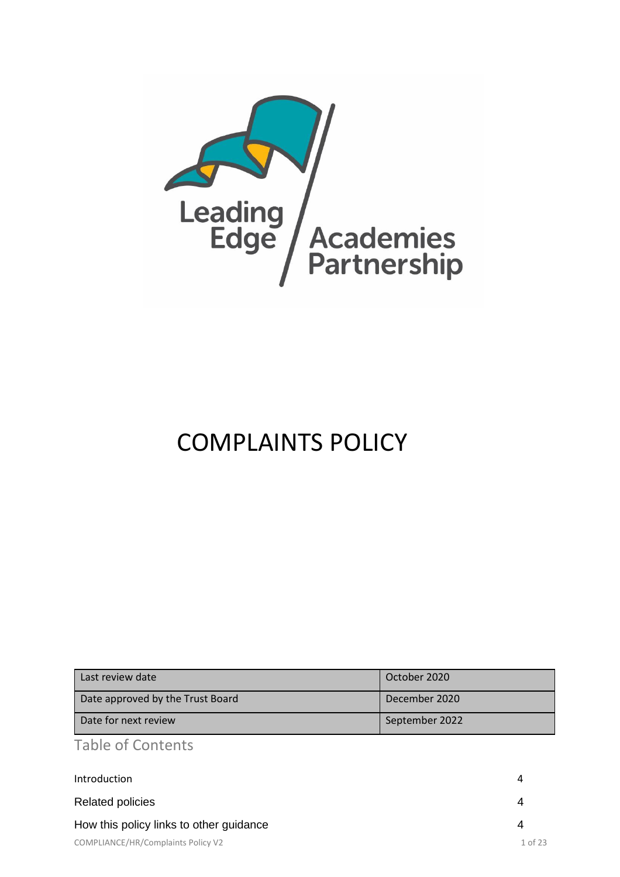

# COMPLAINTS POLICY

| Last review date                 | October 2020   |
|----------------------------------|----------------|
| Date approved by the Trust Board | December 2020  |
| Date for next review             | September 2022 |

Table of Contents

| Introduction                            | 4       |
|-----------------------------------------|---------|
| <b>Related policies</b>                 | 4       |
| How this policy links to other guidance | 4       |
| COMPLIANCE/HR/Complaints Policy V2      | 1 of 23 |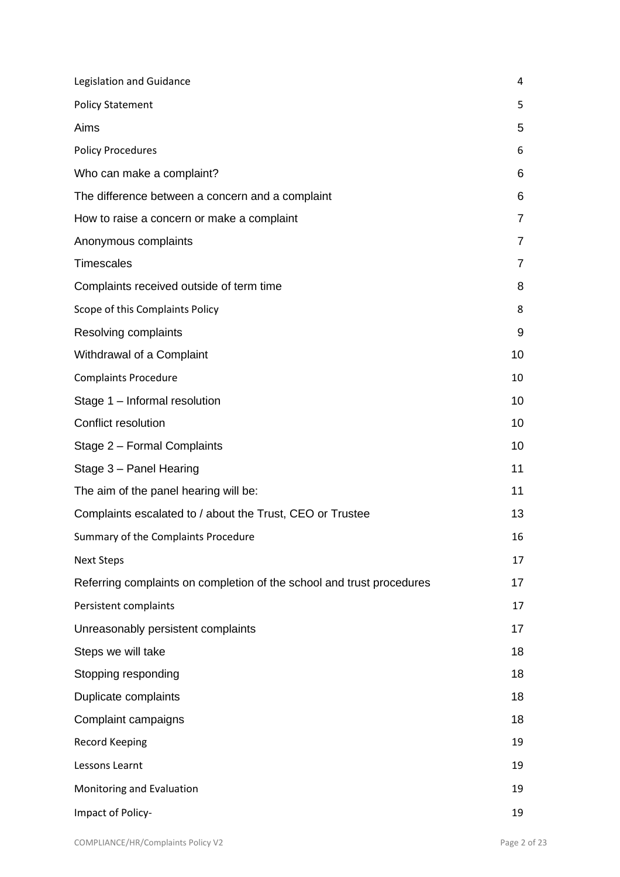| Legislation and Guidance                                              | 4              |
|-----------------------------------------------------------------------|----------------|
| <b>Policy Statement</b>                                               | 5              |
| Aims                                                                  | 5              |
| <b>Policy Procedures</b>                                              | 6              |
| Who can make a complaint?                                             | 6              |
| The difference between a concern and a complaint                      | 6              |
| How to raise a concern or make a complaint                            | $\overline{7}$ |
| Anonymous complaints                                                  | 7              |
| <b>Timescales</b>                                                     | $\overline{7}$ |
| Complaints received outside of term time                              | 8              |
| Scope of this Complaints Policy                                       | 8              |
| Resolving complaints                                                  | 9              |
| Withdrawal of a Complaint                                             | 10             |
| <b>Complaints Procedure</b>                                           | 10             |
| Stage 1 - Informal resolution                                         | 10             |
| Conflict resolution                                                   | 10             |
| Stage 2 - Formal Complaints                                           | 10             |
| Stage 3 - Panel Hearing                                               | 11             |
| The aim of the panel hearing will be:                                 | 11             |
| Complaints escalated to / about the Trust, CEO or Trustee             | 13             |
| Summary of the Complaints Procedure                                   | 16             |
| <b>Next Steps</b>                                                     | 17             |
| Referring complaints on completion of the school and trust procedures | 17             |
| Persistent complaints                                                 | 17             |
| Unreasonably persistent complaints                                    | 17             |
| Steps we will take                                                    | 18             |
| Stopping responding                                                   | 18             |
| Duplicate complaints                                                  | 18             |
| Complaint campaigns                                                   | 18             |
| Record Keeping                                                        | 19             |
| Lessons Learnt                                                        | 19             |
| Monitoring and Evaluation                                             | 19             |
| Impact of Policy-                                                     | 19             |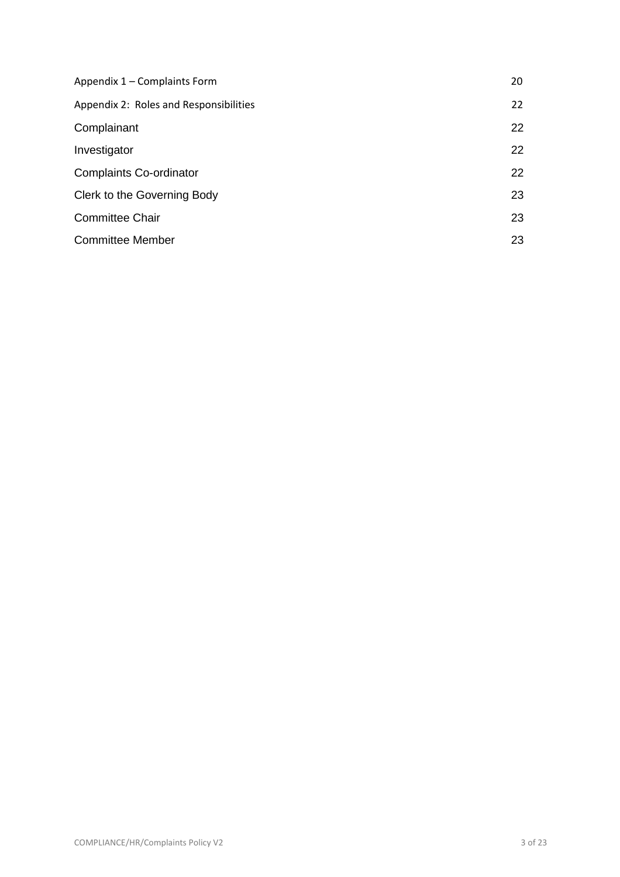| Appendix 1 - Complaints Form           | 20 |
|----------------------------------------|----|
| Appendix 2: Roles and Responsibilities | 22 |
| Complainant                            | 22 |
| Investigator                           | 22 |
| <b>Complaints Co-ordinator</b>         | 22 |
| Clerk to the Governing Body            | 23 |
| <b>Committee Chair</b>                 | 23 |
| <b>Committee Member</b>                | 23 |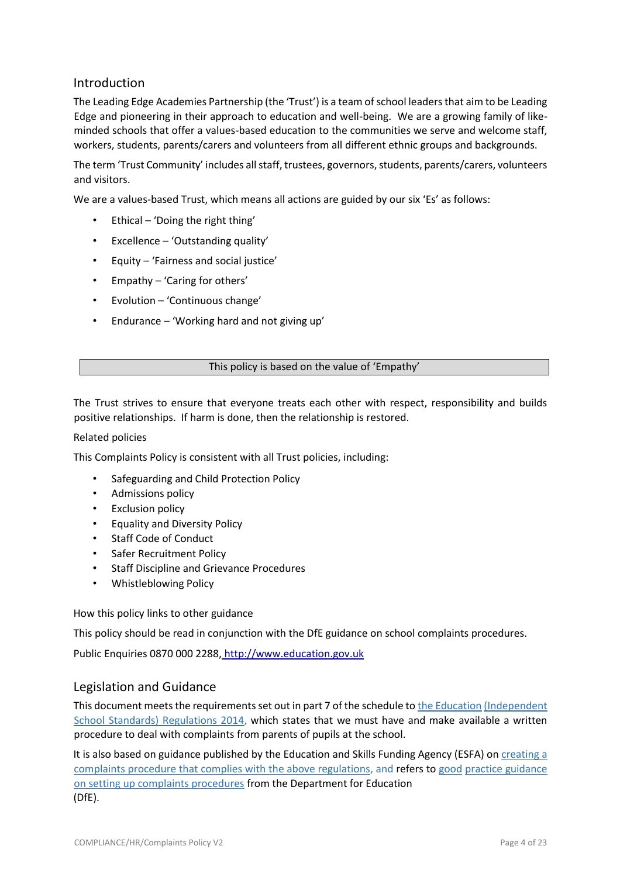## Introduction

The Leading Edge Academies Partnership (the 'Trust') is a team of school leaders that aim to be Leading Edge and pioneering in their approach to education and well-being. We are a growing family of likeminded schools that offer a values-based education to the communities we serve and welcome staff, workers, students, parents/carers and volunteers from all different ethnic groups and backgrounds.

The term 'Trust Community' includes all staff, trustees, governors, students, parents/carers, volunteers and visitors.

We are a values-based Trust, which means all actions are guided by our six 'Es' as follows:

- Ethical 'Doing the right thing'
- Excellence 'Outstanding quality'
- Equity 'Fairness and social justice'
- Empathy 'Caring for others'
- Evolution 'Continuous change'
- Endurance 'Working hard and not giving up'

#### This policy is based on the value of 'Empathy'

The Trust strives to ensure that everyone treats each other with respect, responsibility and builds positive relationships. If harm is done, then the relationship is restored.

#### Related policies

This Complaints Policy is consistent with all Trust policies, including:

- Safeguarding and Child Protection Policy
- Admissions policy
- **Exclusion policy**
- Equality and Diversity Policy
- Staff Code of Conduct
- Safer Recruitment Policy
- Staff Discipline and Grievance Procedures
- Whistleblowing Policy

How this policy links to other guidance

This policy should be read in conjunction with the DfE guidance on school complaints procedures.

Public Enquiries 0870 000 2288, http://www.education.gov.uk

## Legislation and Guidance

This document meets the requirements set out in part 7 of the schedule to the Education (Independent School Standards) Regulations 2014, which states that we must have and make available a written procedure to deal with complaints from parents of pupils at the school.

It is also based on guidance published by the Education and Skills Funding Agency (ESFA) on creating a complaints procedure that complies with the above regulations, and refers to good practice guidance on setting up complaints procedures from the Department for Education (DfE).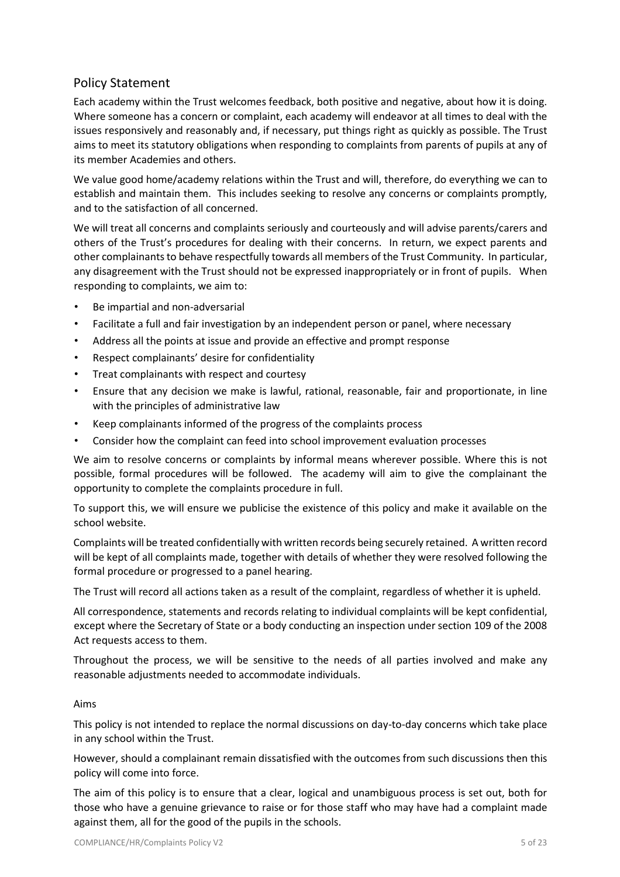# Policy Statement

Each academy within the Trust welcomes feedback, both positive and negative, about how it is doing. Where someone has a concern or complaint, each academy will endeavor at all times to deal with the issues responsively and reasonably and, if necessary, put things right as quickly as possible. The Trust aims to meet its statutory obligations when responding to complaints from parents of pupils at any of its member Academies and others.

We value good home/academy relations within the Trust and will, therefore, do everything we can to establish and maintain them. This includes seeking to resolve any concerns or complaints promptly, and to the satisfaction of all concerned.

We will treat all concerns and complaints seriously and courteously and will advise parents/carers and others of the Trust's procedures for dealing with their concerns. In return, we expect parents and other complainants to behave respectfully towards all members of the Trust Community. In particular, any disagreement with the Trust should not be expressed inappropriately or in front of pupils. When responding to complaints, we aim to:

- Be impartial and non-adversarial
- Facilitate a full and fair investigation by an independent person or panel, where necessary
- Address all the points at issue and provide an effective and prompt response
- Respect complainants' desire for confidentiality
- Treat complainants with respect and courtesy
- Ensure that any decision we make is lawful, rational, reasonable, fair and proportionate, in line with the principles of administrative law
- Keep complainants informed of the progress of the complaints process
- Consider how the complaint can feed into school improvement evaluation processes

We aim to resolve concerns or complaints by informal means wherever possible. Where this is not possible, formal procedures will be followed. The academy will aim to give the complainant the opportunity to complete the complaints procedure in full.

To support this, we will ensure we publicise the existence of this policy and make it available on the school website.

Complaints will be treated confidentially with written records being securely retained. A written record will be kept of all complaints made, together with details of whether they were resolved following the formal procedure or progressed to a panel hearing.

The Trust will record all actions taken as a result of the complaint, regardless of whether it is upheld.

All correspondence, statements and records relating to individual complaints will be kept confidential, except where the Secretary of State or a body conducting an inspection under section 109 of the 2008 Act requests access to them.

Throughout the process, we will be sensitive to the needs of all parties involved and make any reasonable adjustments needed to accommodate individuals.

## Aims

This policy is not intended to replace the normal discussions on day-to-day concerns which take place in any school within the Trust.

However, should a complainant remain dissatisfied with the outcomes from such discussions then this policy will come into force.

The aim of this policy is to ensure that a clear, logical and unambiguous process is set out, both for those who have a genuine grievance to raise or for those staff who may have had a complaint made against them, all for the good of the pupils in the schools.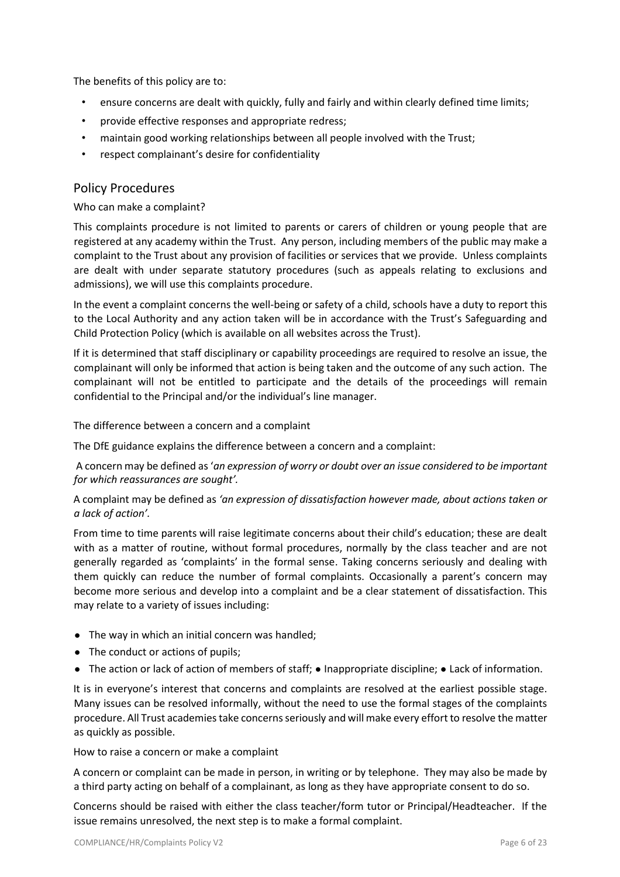The benefits of this policy are to:

- ensure concerns are dealt with quickly, fully and fairly and within clearly defined time limits;
- provide effective responses and appropriate redress;
- maintain good working relationships between all people involved with the Trust;
- respect complainant's desire for confidentiality

## Policy Procedures

Who can make a complaint?

This complaints procedure is not limited to parents or carers of children or young people that are registered at any academy within the Trust. Any person, including members of the public may make a complaint to the Trust about any provision of facilities or services that we provide. Unless complaints are dealt with under separate statutory procedures (such as appeals relating to exclusions and admissions), we will use this complaints procedure.

In the event a complaint concerns the well-being or safety of a child, schools have a duty to report this to the Local Authority and any action taken will be in accordance with the Trust's Safeguarding and Child Protection Policy (which is available on all websites across the Trust).

If it is determined that staff disciplinary or capability proceedings are required to resolve an issue, the complainant will only be informed that action is being taken and the outcome of any such action. The complainant will not be entitled to participate and the details of the proceedings will remain confidential to the Principal and/or the individual's line manager.

The difference between a concern and a complaint

The DfE guidance explains the difference between a concern and a complaint:

A concern may be defined as '*an expression of worry or doubt over an issue considered to be important for which reassurances are sought'.*

A complaint may be defined as *'an expression of dissatisfaction however made, about actions taken or a lack of action'.*

From time to time parents will raise legitimate concerns about their child's education; these are dealt with as a matter of routine, without formal procedures, normally by the class teacher and are not generally regarded as 'complaints' in the formal sense. Taking concerns seriously and dealing with them quickly can reduce the number of formal complaints. Occasionally a parent's concern may become more serious and develop into a complaint and be a clear statement of dissatisfaction. This may relate to a variety of issues including:

- The way in which an initial concern was handled;
- The conduct or actions of pupils;
- The action or lack of action of members of staff; Inappropriate discipline; Lack of information.

It is in everyone's interest that concerns and complaints are resolved at the earliest possible stage. Many issues can be resolved informally, without the need to use the formal stages of the complaints procedure. All Trust academies take concerns seriously and will make every effort to resolve the matter as quickly as possible.

How to raise a concern or make a complaint

A concern or complaint can be made in person, in writing or by telephone. They may also be made by a third party acting on behalf of a complainant, as long as they have appropriate consent to do so.

Concerns should be raised with either the class teacher/form tutor or Principal/Headteacher. If the issue remains unresolved, the next step is to make a formal complaint.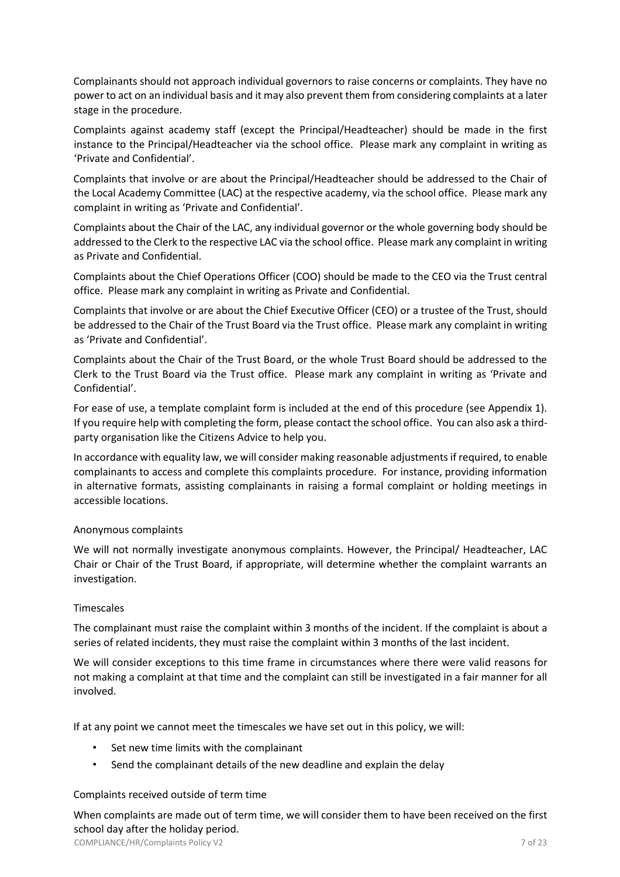Complainants should not approach individual governors to raise concerns or complaints. They have no power to act on an individual basis and it may also prevent them from considering complaints at a later stage in the procedure.

Complaints against academy staff (except the Principal/Headteacher) should be made in the first instance to the Principal/Headteacher via the school office. Please mark any complaint in writing as 'Private and Confidential'.

Complaints that involve or are about the Principal/Headteacher should be addressed to the Chair of the Local Academy Committee (LAC) at the respective academy, via the school office. Please mark any complaint in writing as 'Private and Confidential'.

Complaints about the Chair of the LAC, any individual governor or the whole governing body should be addressed to the Clerk to the respective LAC via the school office. Please mark any complaint in writing as Private and Confidential.

Complaints about the Chief Operations Officer (COO) should be made to the CEO via the Trust central office. Please mark any complaint in writing as Private and Confidential.

Complaints that involve or are about the Chief Executive Officer (CEO) or a trustee of the Trust, should be addressed to the Chair of the Trust Board via the Trust office. Please mark any complaint in writing as 'Private and Confidential'.

Complaints about the Chair of the Trust Board, or the whole Trust Board should be addressed to the Clerk to the Trust Board via the Trust office. Please mark any complaint in writing as 'Private and Confidential'.

For ease of use, a template complaint form is included at the end of this procedure (see Appendix 1). If you require help with completing the form, please contact the school office. You can also ask a thirdparty organisation like the Citizens Advice to help you.

In accordance with equality law, we will consider making reasonable adjustments if required, to enable complainants to access and complete this complaints procedure. For instance, providing information in alternative formats, assisting complainants in raising a formal complaint or holding meetings in accessible locations.

## Anonymous complaints

We will not normally investigate anonymous complaints. However, the Principal/ Headteacher, LAC Chair or Chair of the Trust Board, if appropriate, will determine whether the complaint warrants an investigation.

## **Timescales**

The complainant must raise the complaint within 3 months of the incident. If the complaint is about a series of related incidents, they must raise the complaint within 3 months of the last incident.

We will consider exceptions to this time frame in circumstances where there were valid reasons for not making a complaint at that time and the complaint can still be investigated in a fair manner for all involved.

If at any point we cannot meet the timescales we have set out in this policy, we will:

- Set new time limits with the complainant
- Send the complainant details of the new deadline and explain the delay

## Complaints received outside of term time

When complaints are made out of term time, we will consider them to have been received on the first school day after the holiday period.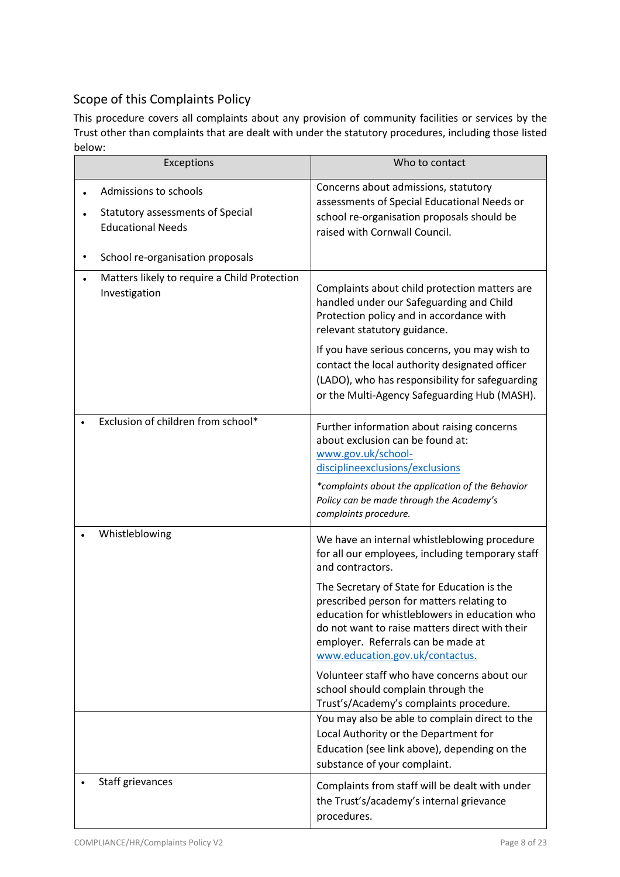# Scope of this Complaints Policy

This procedure covers all complaints about any provision of community facilities or services by the Trust other than complaints that are dealt with under the statutory procedures, including those listed below:

| Exceptions                                                                                   | Who to contact                                                                                                                                                                                                                                                       |
|----------------------------------------------------------------------------------------------|----------------------------------------------------------------------------------------------------------------------------------------------------------------------------------------------------------------------------------------------------------------------|
| Admissions to schools<br><b>Statutory assessments of Special</b><br><b>Educational Needs</b> | Concerns about admissions, statutory<br>assessments of Special Educational Needs or<br>school re-organisation proposals should be<br>raised with Cornwall Council.                                                                                                   |
| School re-organisation proposals                                                             |                                                                                                                                                                                                                                                                      |
| Matters likely to require a Child Protection<br>Investigation                                | Complaints about child protection matters are<br>handled under our Safeguarding and Child<br>Protection policy and in accordance with<br>relevant statutory guidance.                                                                                                |
|                                                                                              | If you have serious concerns, you may wish to<br>contact the local authority designated officer<br>(LADO), who has responsibility for safeguarding<br>or the Multi-Agency Safeguarding Hub (MASH).                                                                   |
| Exclusion of children from school*                                                           | Further information about raising concerns<br>about exclusion can be found at:<br>www.gov.uk/school-<br>discipline exclusions/exclusions<br>*complaints about the application of the Behavior<br>Policy can be made through the Academy's<br>complaints procedure.   |
| Whistleblowing                                                                               | We have an internal whistleblowing procedure<br>for all our employees, including temporary staff<br>and contractors.                                                                                                                                                 |
|                                                                                              | The Secretary of State for Education is the<br>prescribed person for matters relating to<br>education for whistleblowers in education who<br>do not want to raise matters direct with their<br>employer. Referrals can be made at<br>www.education.gov.uk/contactus. |
|                                                                                              | Volunteer staff who have concerns about our<br>school should complain through the<br>Trust's/Academy's complaints procedure.                                                                                                                                         |
|                                                                                              | You may also be able to complain direct to the<br>Local Authority or the Department for<br>Education (see link above), depending on the<br>substance of your complaint.                                                                                              |
| Staff grievances                                                                             | Complaints from staff will be dealt with under<br>the Trust's/academy's internal grievance<br>procedures.                                                                                                                                                            |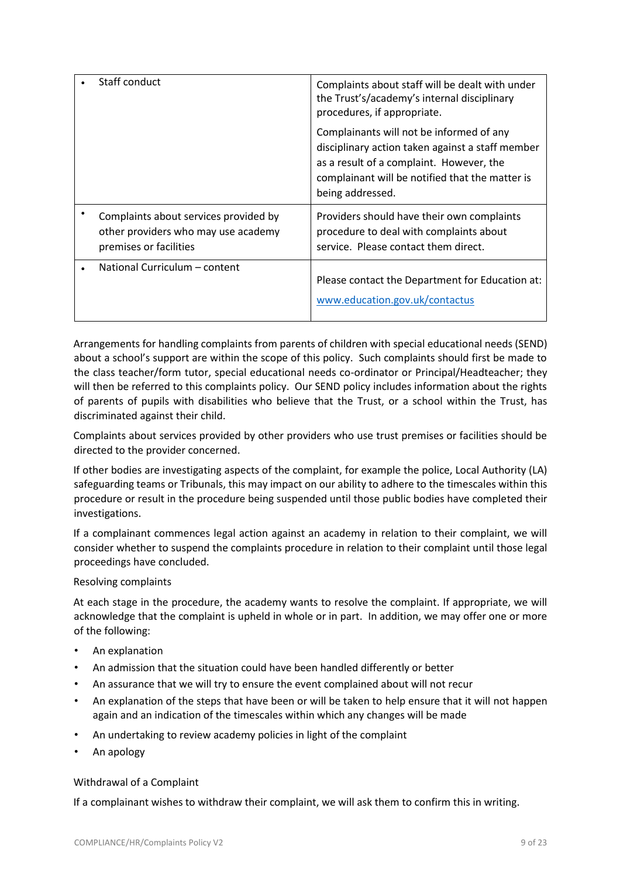| Staff conduct          |                                                                              | Complaints about staff will be dealt with under<br>the Trust's/academy's internal disciplinary<br>procedures, if appropriate.                                                                                   |
|------------------------|------------------------------------------------------------------------------|-----------------------------------------------------------------------------------------------------------------------------------------------------------------------------------------------------------------|
|                        |                                                                              | Complainants will not be informed of any<br>disciplinary action taken against a staff member<br>as a result of a complaint. However, the<br>complainant will be notified that the matter is<br>being addressed. |
| premises or facilities | Complaints about services provided by<br>other providers who may use academy | Providers should have their own complaints<br>procedure to deal with complaints about<br>service. Please contact them direct.                                                                                   |
|                        | National Curriculum - content                                                | Please contact the Department for Education at:<br>www.education.gov.uk/contactus                                                                                                                               |

Arrangements for handling complaints from parents of children with special educational needs (SEND) about a school's support are within the scope of this policy. Such complaints should first be made to the class teacher/form tutor, special educational needs co-ordinator or Principal/Headteacher; they will then be referred to this complaints policy. Our SEND policy includes information about the rights of parents of pupils with disabilities who believe that the Trust, or a school within the Trust, has discriminated against their child.

Complaints about services provided by other providers who use trust premises or facilities should be directed to the provider concerned.

If other bodies are investigating aspects of the complaint, for example the police, Local Authority (LA) safeguarding teams or Tribunals, this may impact on our ability to adhere to the timescales within this procedure or result in the procedure being suspended until those public bodies have completed their investigations.

If a complainant commences legal action against an academy in relation to their complaint, we will consider whether to suspend the complaints procedure in relation to their complaint until those legal proceedings have concluded.

## Resolving complaints

At each stage in the procedure, the academy wants to resolve the complaint. If appropriate, we will acknowledge that the complaint is upheld in whole or in part. In addition, we may offer one or more of the following:

- An explanation
- An admission that the situation could have been handled differently or better
- An assurance that we will try to ensure the event complained about will not recur
- An explanation of the steps that have been or will be taken to help ensure that it will not happen again and an indication of the timescales within which any changes will be made
- An undertaking to review academy policies in light of the complaint
- An apology

## Withdrawal of a Complaint

If a complainant wishes to withdraw their complaint, we will ask them to confirm this in writing.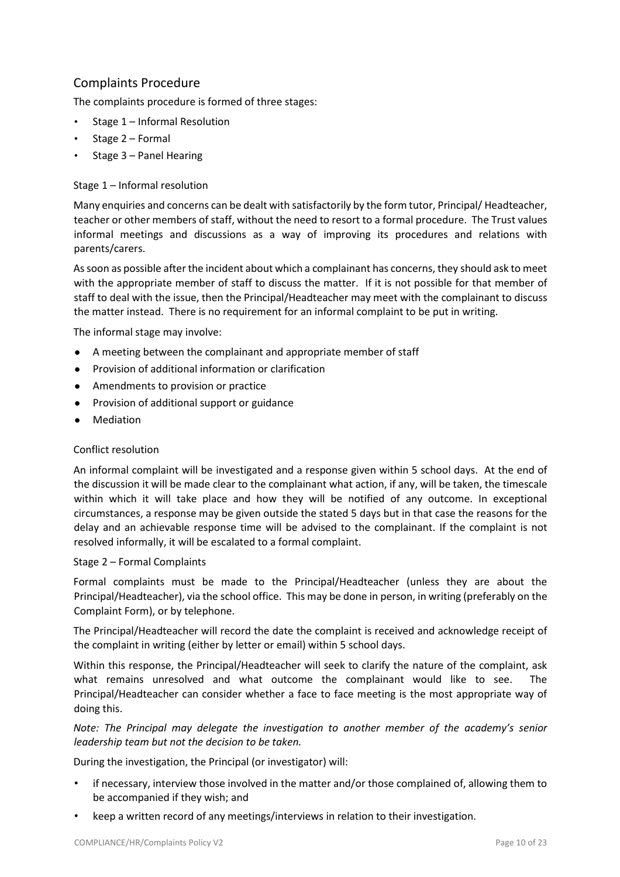# Complaints Procedure

The complaints procedure is formed of three stages:

- Stage 1 Informal Resolution
- Stage 2 Formal
- Stage 3 Panel Hearing

## Stage 1 – Informal resolution

Many enquiries and concerns can be dealt with satisfactorily by the form tutor, Principal/ Headteacher, teacher or other members of staff, without the need to resort to a formal procedure. The Trust values informal meetings and discussions as a way of improving its procedures and relations with parents/carers.

As soon as possible after the incident about which a complainant has concerns, they should ask to meet with the appropriate member of staff to discuss the matter. If it is not possible for that member of staff to deal with the issue, then the Principal/Headteacher may meet with the complainant to discuss the matter instead. There is no requirement for an informal complaint to be put in writing.

The informal stage may involve:

- A meeting between the complainant and appropriate member of staff
- Provision of additional information or clarification
- Amendments to provision or practice
- Provision of additional support or guidance
- Mediation

## Conflict resolution

An informal complaint will be investigated and a response given within 5 school days. At the end of the discussion it will be made clear to the complainant what action, if any, will be taken, the timescale within which it will take place and how they will be notified of any outcome. In exceptional circumstances, a response may be given outside the stated 5 days but in that case the reasons for the delay and an achievable response time will be advised to the complainant. If the complaint is not resolved informally, it will be escalated to a formal complaint.

## Stage 2 – Formal Complaints

Formal complaints must be made to the Principal/Headteacher (unless they are about the Principal/Headteacher), via the school office. This may be done in person, in writing (preferably on the Complaint Form), or by telephone.

The Principal/Headteacher will record the date the complaint is received and acknowledge receipt of the complaint in writing (either by letter or email) within 5 school days.

Within this response, the Principal/Headteacher will seek to clarify the nature of the complaint, ask what remains unresolved and what outcome the complainant would like to see. The Principal/Headteacher can consider whether a face to face meeting is the most appropriate way of doing this.

*Note: The Principal may delegate the investigation to another member of the academy's senior leadership team but not the decision to be taken.*

During the investigation, the Principal (or investigator) will:

- if necessary, interview those involved in the matter and/or those complained of, allowing them to be accompanied if they wish; and
- keep a written record of any meetings/interviews in relation to their investigation.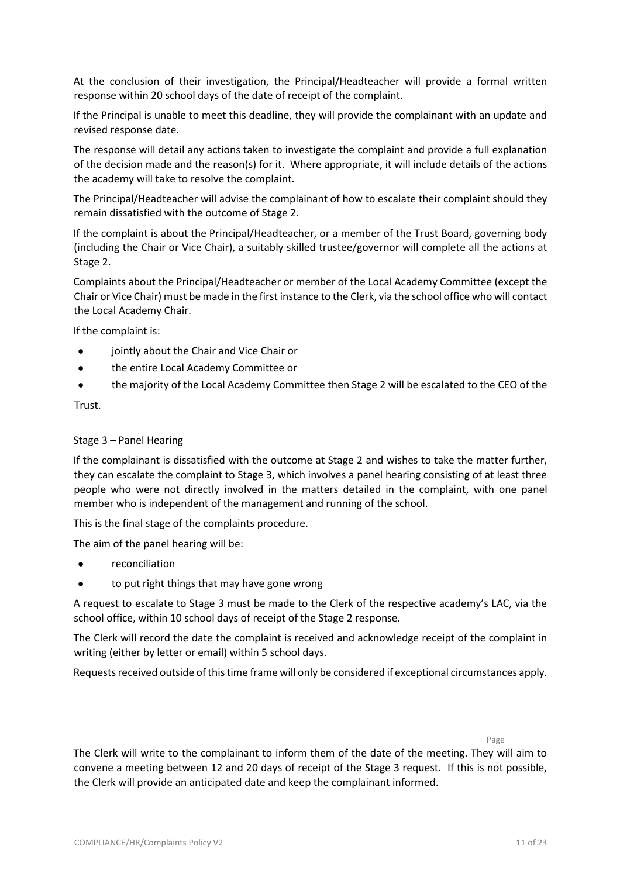At the conclusion of their investigation, the Principal/Headteacher will provide a formal written response within 20 school days of the date of receipt of the complaint.

If the Principal is unable to meet this deadline, they will provide the complainant with an update and revised response date.

The response will detail any actions taken to investigate the complaint and provide a full explanation of the decision made and the reason(s) for it. Where appropriate, it will include details of the actions the academy will take to resolve the complaint.

The Principal/Headteacher will advise the complainant of how to escalate their complaint should they remain dissatisfied with the outcome of Stage 2.

If the complaint is about the Principal/Headteacher, or a member of the Trust Board, governing body (including the Chair or Vice Chair), a suitably skilled trustee/governor will complete all the actions at Stage 2.

Complaints about the Principal/Headteacher or member of the Local Academy Committee (except the Chair or Vice Chair) must be made in the first instance to the Clerk, via the school office who will contact the Local Academy Chair.

If the complaint is:

- jointly about the Chair and Vice Chair or
- the entire Local Academy Committee or
- the majority of the Local Academy Committee then Stage 2 will be escalated to the CEO of the

Trust.

## Stage 3 – Panel Hearing

If the complainant is dissatisfied with the outcome at Stage 2 and wishes to take the matter further, they can escalate the complaint to Stage 3, which involves a panel hearing consisting of at least three people who were not directly involved in the matters detailed in the complaint, with one panel member who is independent of the management and running of the school.

This is the final stage of the complaints procedure.

The aim of the panel hearing will be:

- reconciliation
- to put right things that may have gone wrong

A request to escalate to Stage 3 must be made to the Clerk of the respective academy's LAC, via the school office, within 10 school days of receipt of the Stage 2 response.

The Clerk will record the date the complaint is received and acknowledge receipt of the complaint in writing (either by letter or email) within 5 school days.

Requests received outside of this time frame will only be considered if exceptional circumstances apply.

Page

The Clerk will write to the complainant to inform them of the date of the meeting. They will aim to convene a meeting between 12 and 20 days of receipt of the Stage 3 request. If this is not possible, the Clerk will provide an anticipated date and keep the complainant informed.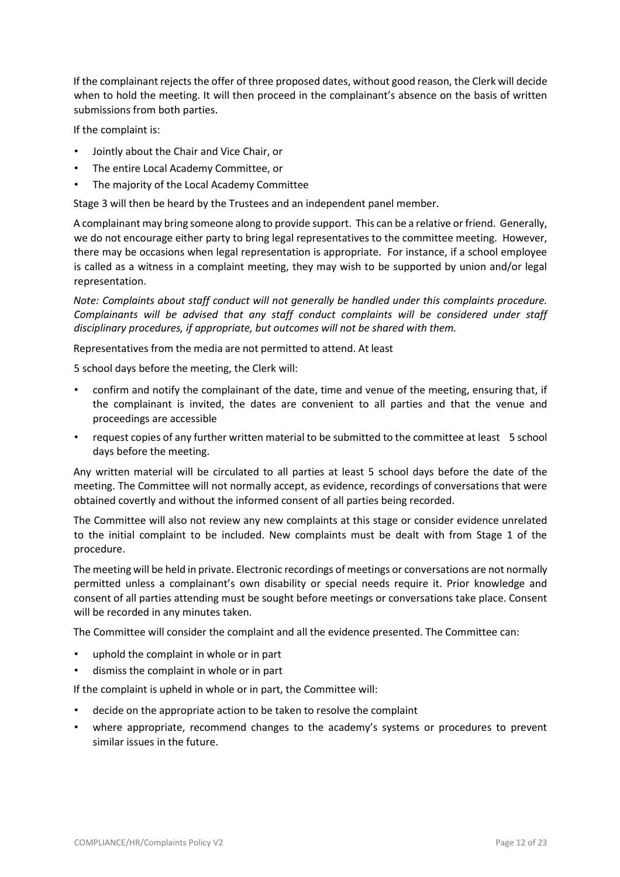If the complainant rejects the offer of three proposed dates, without good reason, the Clerk will decide when to hold the meeting. It will then proceed in the complainant's absence on the basis of written submissions from both parties.

If the complaint is:

- Jointly about the Chair and Vice Chair, or
- The entire Local Academy Committee, or
- The majority of the Local Academy Committee

Stage 3 will then be heard by the Trustees and an independent panel member.

A complainant may bring someone along to provide support. This can be a relative or friend. Generally, we do not encourage either party to bring legal representatives to the committee meeting. However, there may be occasions when legal representation is appropriate. For instance, if a school employee is called as a witness in a complaint meeting, they may wish to be supported by union and/or legal representation.

*Note: Complaints about staff conduct will not generally be handled under this complaints procedure. Complainants will be advised that any staff conduct complaints will be considered under staff disciplinary procedures, if appropriate, but outcomes will not be shared with them.* 

Representatives from the media are not permitted to attend. At least

5 school days before the meeting, the Clerk will:

- confirm and notify the complainant of the date, time and venue of the meeting, ensuring that, if the complainant is invited, the dates are convenient to all parties and that the venue and proceedings are accessible
- request copies of any further written material to be submitted to the committee at least 5 school days before the meeting.

Any written material will be circulated to all parties at least 5 school days before the date of the meeting. The Committee will not normally accept, as evidence, recordings of conversations that were obtained covertly and without the informed consent of all parties being recorded.

The Committee will also not review any new complaints at this stage or consider evidence unrelated to the initial complaint to be included. New complaints must be dealt with from Stage 1 of the procedure.

The meeting will be held in private. Electronic recordings of meetings or conversations are not normally permitted unless a complainant's own disability or special needs require it. Prior knowledge and consent of all parties attending must be sought before meetings or conversations take place. Consent will be recorded in any minutes taken.

The Committee will consider the complaint and all the evidence presented. The Committee can:

- uphold the complaint in whole or in part
- dismiss the complaint in whole or in part

If the complaint is upheld in whole or in part, the Committee will:

- decide on the appropriate action to be taken to resolve the complaint
- where appropriate, recommend changes to the academy's systems or procedures to prevent similar issues in the future.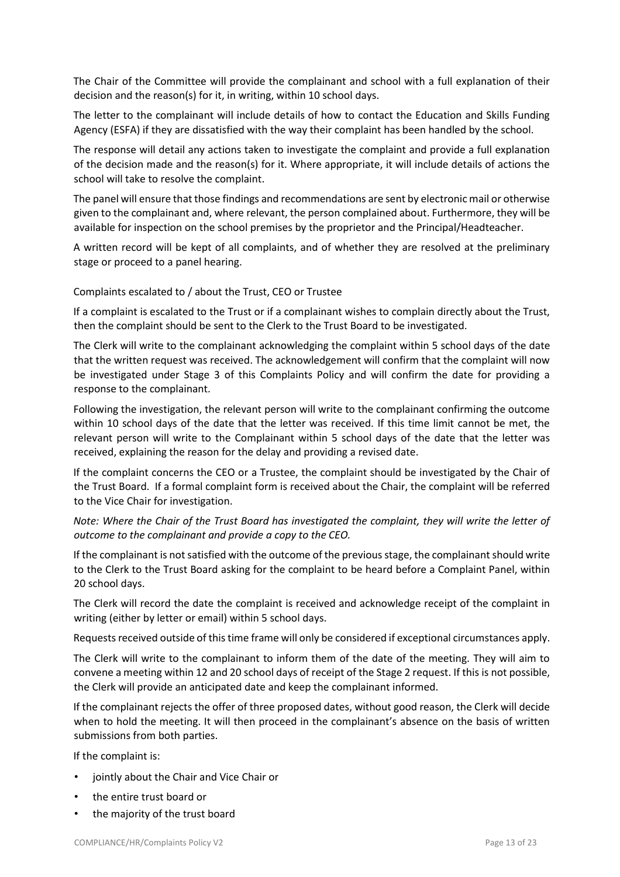The Chair of the Committee will provide the complainant and school with a full explanation of their decision and the reason(s) for it, in writing, within 10 school days.

The letter to the complainant will include details of how to contact the Education and Skills Funding Agency (ESFA) if they are dissatisfied with the way their complaint has been handled by the school.

The response will detail any actions taken to investigate the complaint and provide a full explanation of the decision made and the reason(s) for it. Where appropriate, it will include details of actions the school will take to resolve the complaint.

The panel will ensure that those findings and recommendations are sent by electronic mail or otherwise given to the complainant and, where relevant, the person complained about. Furthermore, they will be available for inspection on the school premises by the proprietor and the Principal/Headteacher.

A written record will be kept of all complaints, and of whether they are resolved at the preliminary stage or proceed to a panel hearing.

## Complaints escalated to / about the Trust, CEO or Trustee

If a complaint is escalated to the Trust or if a complainant wishes to complain directly about the Trust, then the complaint should be sent to the Clerk to the Trust Board to be investigated.

The Clerk will write to the complainant acknowledging the complaint within 5 school days of the date that the written request was received. The acknowledgement will confirm that the complaint will now be investigated under Stage 3 of this Complaints Policy and will confirm the date for providing a response to the complainant.

Following the investigation, the relevant person will write to the complainant confirming the outcome within 10 school days of the date that the letter was received. If this time limit cannot be met, the relevant person will write to the Complainant within 5 school days of the date that the letter was received, explaining the reason for the delay and providing a revised date.

If the complaint concerns the CEO or a Trustee, the complaint should be investigated by the Chair of the Trust Board. If a formal complaint form is received about the Chair, the complaint will be referred to the Vice Chair for investigation.

*Note: Where the Chair of the Trust Board has investigated the complaint, they will write the letter of outcome to the complainant and provide a copy to the CEO.* 

If the complainant is not satisfied with the outcome of the previous stage, the complainant should write to the Clerk to the Trust Board asking for the complaint to be heard before a Complaint Panel, within 20 school days.

The Clerk will record the date the complaint is received and acknowledge receipt of the complaint in writing (either by letter or email) within 5 school days.

Requests received outside of this time frame will only be considered if exceptional circumstances apply.

The Clerk will write to the complainant to inform them of the date of the meeting. They will aim to convene a meeting within 12 and 20 school days of receipt of the Stage 2 request. If this is not possible, the Clerk will provide an anticipated date and keep the complainant informed.

If the complainant rejects the offer of three proposed dates, without good reason, the Clerk will decide when to hold the meeting. It will then proceed in the complainant's absence on the basis of written submissions from both parties.

If the complaint is:

- jointly about the Chair and Vice Chair or
- the entire trust board or
- the majority of the trust board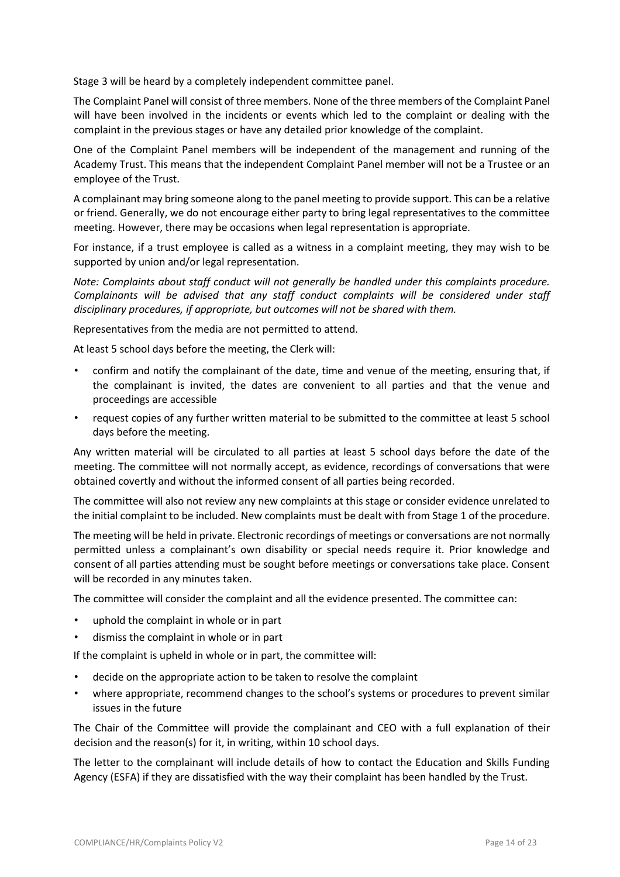Stage 3 will be heard by a completely independent committee panel.

The Complaint Panel will consist of three members. None of the three members of the Complaint Panel will have been involved in the incidents or events which led to the complaint or dealing with the complaint in the previous stages or have any detailed prior knowledge of the complaint.

One of the Complaint Panel members will be independent of the management and running of the Academy Trust. This means that the independent Complaint Panel member will not be a Trustee or an employee of the Trust.

A complainant may bring someone along to the panel meeting to provide support. This can be a relative or friend. Generally, we do not encourage either party to bring legal representatives to the committee meeting. However, there may be occasions when legal representation is appropriate.

For instance, if a trust employee is called as a witness in a complaint meeting, they may wish to be supported by union and/or legal representation.

*Note: Complaints about staff conduct will not generally be handled under this complaints procedure. Complainants will be advised that any staff conduct complaints will be considered under staff disciplinary procedures, if appropriate, but outcomes will not be shared with them.* 

Representatives from the media are not permitted to attend.

At least 5 school days before the meeting, the Clerk will:

- confirm and notify the complainant of the date, time and venue of the meeting, ensuring that, if the complainant is invited, the dates are convenient to all parties and that the venue and proceedings are accessible
- request copies of any further written material to be submitted to the committee at least 5 school days before the meeting.

Any written material will be circulated to all parties at least 5 school days before the date of the meeting. The committee will not normally accept, as evidence, recordings of conversations that were obtained covertly and without the informed consent of all parties being recorded.

The committee will also not review any new complaints at this stage or consider evidence unrelated to the initial complaint to be included. New complaints must be dealt with from Stage 1 of the procedure.

The meeting will be held in private. Electronic recordings of meetings or conversations are not normally permitted unless a complainant's own disability or special needs require it. Prior knowledge and consent of all parties attending must be sought before meetings or conversations take place. Consent will be recorded in any minutes taken.

The committee will consider the complaint and all the evidence presented. The committee can:

- uphold the complaint in whole or in part
- dismiss the complaint in whole or in part

If the complaint is upheld in whole or in part, the committee will:

- decide on the appropriate action to be taken to resolve the complaint
- where appropriate, recommend changes to the school's systems or procedures to prevent similar issues in the future

The Chair of the Committee will provide the complainant and CEO with a full explanation of their decision and the reason(s) for it, in writing, within 10 school days.

The letter to the complainant will include details of how to contact the Education and Skills Funding Agency (ESFA) if they are dissatisfied with the way their complaint has been handled by the Trust.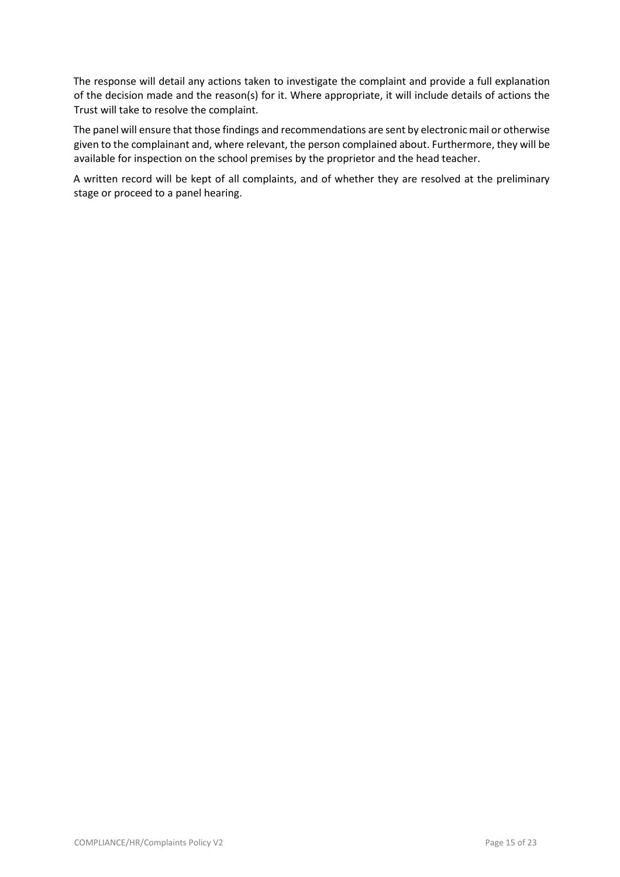The response will detail any actions taken to investigate the complaint and provide a full explanation of the decision made and the reason(s) for it. Where appropriate, it will include details of actions the Trust will take to resolve the complaint.

The panel will ensure that those findings and recommendations are sent by electronic mail or otherwise given to the complainant and, where relevant, the person complained about. Furthermore, they will be available for inspection on the school premises by the proprietor and the head teacher.

A written record will be kept of all complaints, and of whether they are resolved at the preliminary stage or proceed to a panel hearing.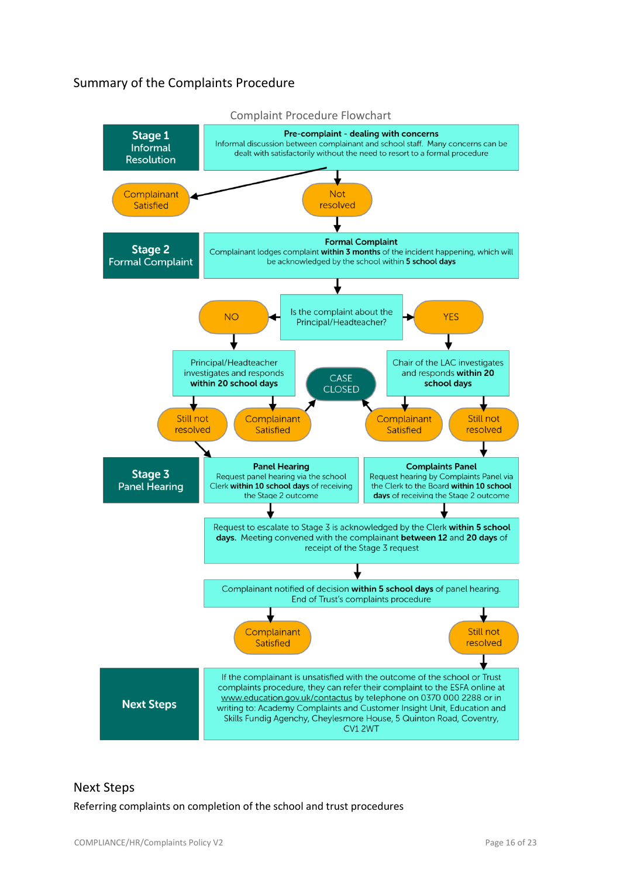# Summary of the Complaints Procedure



## Next Steps

Referring complaints on completion of the school and trust procedures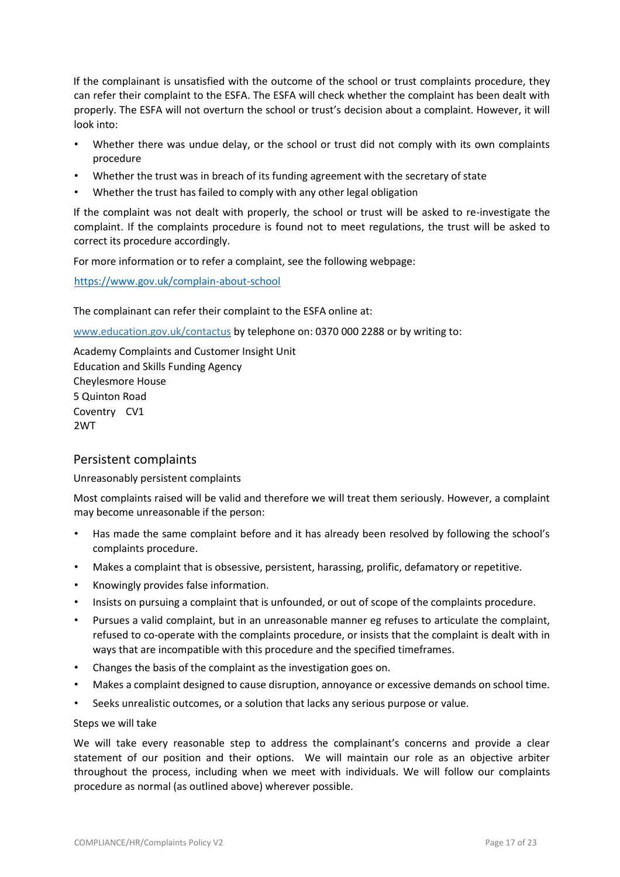If the complainant is unsatisfied with the outcome of the school or trust complaints procedure, they can refer their complaint to the ESFA. The ESFA will check whether the complaint has been dealt with properly. The ESFA will not overturn the school or trust's decision about a complaint. However, it will look into:

- Whether there was undue delay, or the school or trust did not comply with its own complaints procedure
- Whether the trust was in breach of its funding agreement with the secretary of state
- Whether the trust has failed to comply with any other legal obligation

If the complaint was not dealt with properly, the school or trust will be asked to re-investigate the complaint. If the complaints procedure is found not to meet regulations, the trust will be asked to correct its procedure accordingly.

For more information or to refer a complaint, see the following webpage:

https://www.gov.uk/complain-about-school

The complainant can refer their complaint to the ESFA online at:

www.education.gov.uk/contactus by telephone on: 0370 000 2288 or by writing to:

Academy Complaints and Customer Insight Unit Education and Skills Funding Agency Cheylesmore House 5 Quinton Road Coventry CV1 2WT

## Persistent complaints

## Unreasonably persistent complaints

Most complaints raised will be valid and therefore we will treat them seriously. However, a complaint may become unreasonable if the person:

- Has made the same complaint before and it has already been resolved by following the school's complaints procedure.
- Makes a complaint that is obsessive, persistent, harassing, prolific, defamatory or repetitive.
- Knowingly provides false information.
- Insists on pursuing a complaint that is unfounded, or out of scope of the complaints procedure.
- Pursues a valid complaint, but in an unreasonable manner eg refuses to articulate the complaint, refused to co-operate with the complaints procedure, or insists that the complaint is dealt with in ways that are incompatible with this procedure and the specified timeframes.
- Changes the basis of the complaint as the investigation goes on.
- Makes a complaint designed to cause disruption, annoyance or excessive demands on school time.
- Seeks unrealistic outcomes, or a solution that lacks any serious purpose or value.

#### Steps we will take

We will take every reasonable step to address the complainant's concerns and provide a clear statement of our position and their options. We will maintain our role as an objective arbiter throughout the process, including when we meet with individuals. We will follow our complaints procedure as normal (as outlined above) wherever possible.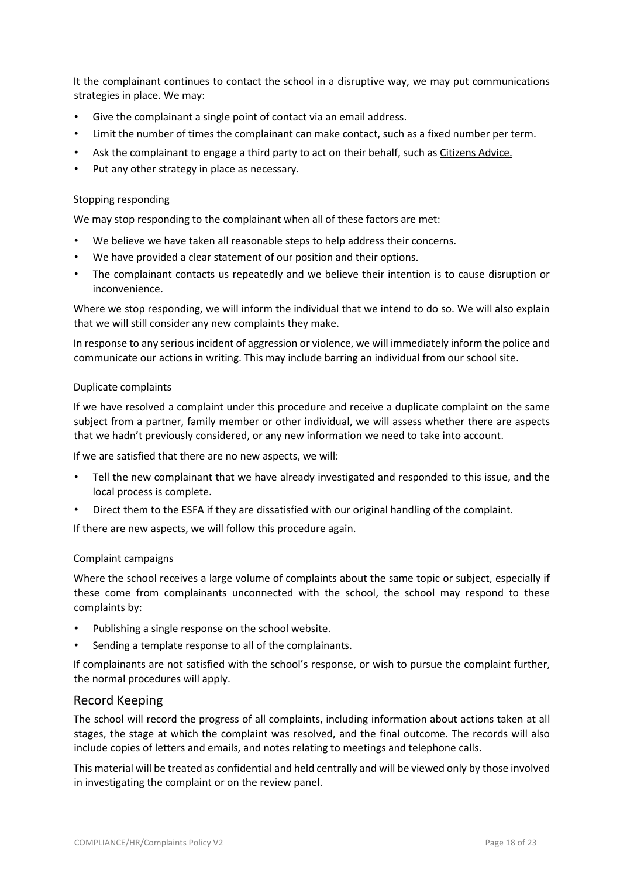It the complainant continues to contact the school in a disruptive way, we may put communications strategies in place. We may:

- Give the complainant a single point of contact via an email address.
- Limit the number of times the complainant can make contact, such as a fixed number per term.
- Ask the complainant to engage a third party to act on their behalf, such as Citizens Advice.
- Put any other strategy in place as necessary.

#### Stopping responding

We may stop responding to the complainant when all of these factors are met:

- We believe we have taken all reasonable steps to help address their concerns.
- We have provided a clear statement of our position and their options.
- The complainant contacts us repeatedly and we believe their intention is to cause disruption or inconvenience.

Where we stop responding, we will inform the individual that we intend to do so. We will also explain that we will still consider any new complaints they make.

In response to any serious incident of aggression or violence, we will immediately inform the police and communicate our actions in writing. This may include barring an individual from our school site.

#### Duplicate complaints

If we have resolved a complaint under this procedure and receive a duplicate complaint on the same subject from a partner, family member or other individual, we will assess whether there are aspects that we hadn't previously considered, or any new information we need to take into account.

If we are satisfied that there are no new aspects, we will:

- Tell the new complainant that we have already investigated and responded to this issue, and the local process is complete.
- Direct them to the ESFA if they are dissatisfied with our original handling of the complaint.

If there are new aspects, we will follow this procedure again.

## Complaint campaigns

Where the school receives a large volume of complaints about the same topic or subject, especially if these come from complainants unconnected with the school, the school may respond to these complaints by:

- Publishing a single response on the school website.
- Sending a template response to all of the complainants.

If complainants are not satisfied with the school's response, or wish to pursue the complaint further, the normal procedures will apply.

## Record Keeping

The school will record the progress of all complaints, including information about actions taken at all stages, the stage at which the complaint was resolved, and the final outcome. The records will also include copies of letters and emails, and notes relating to meetings and telephone calls.

This material will be treated as confidential and held centrally and will be viewed only by those involved in investigating the complaint or on the review panel.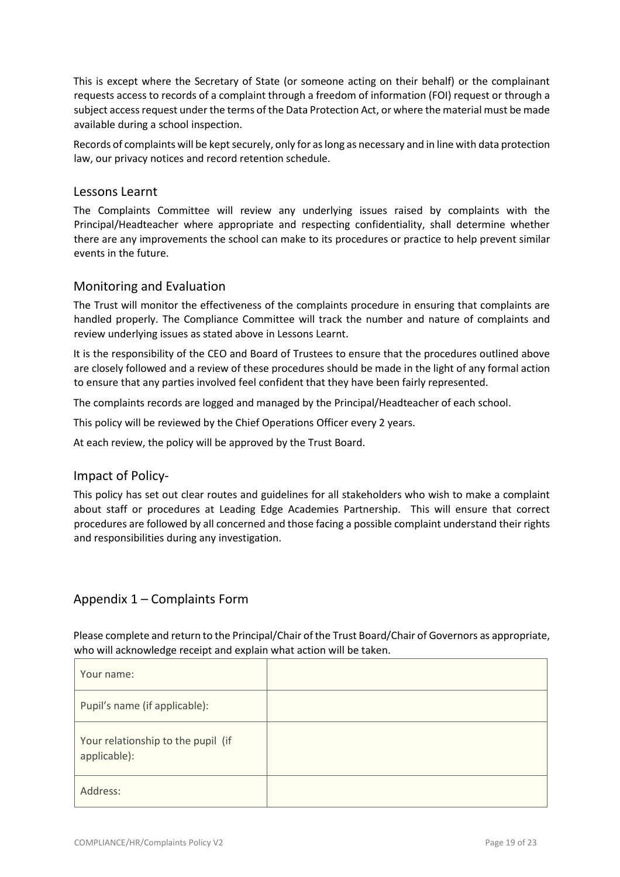This is except where the Secretary of State (or someone acting on their behalf) or the complainant requests access to records of a complaint through a freedom of information (FOI) request or through a subject access request under the terms of the Data Protection Act, or where the material must be made available during a school inspection.

Records of complaints will be kept securely, only for as long as necessary and in line with data protection law, our privacy notices and record retention schedule.

## Lessons Learnt

The Complaints Committee will review any underlying issues raised by complaints with the Principal/Headteacher where appropriate and respecting confidentiality, shall determine whether there are any improvements the school can make to its procedures or practice to help prevent similar events in the future.

## Monitoring and Evaluation

The Trust will monitor the effectiveness of the complaints procedure in ensuring that complaints are handled properly. The Compliance Committee will track the number and nature of complaints and review underlying issues as stated above in Lessons Learnt.

It is the responsibility of the CEO and Board of Trustees to ensure that the procedures outlined above are closely followed and a review of these procedures should be made in the light of any formal action to ensure that any parties involved feel confident that they have been fairly represented.

The complaints records are logged and managed by the Principal/Headteacher of each school.

This policy will be reviewed by the Chief Operations Officer every 2 years.

At each review, the policy will be approved by the Trust Board.

## Impact of Policy-

This policy has set out clear routes and guidelines for all stakeholders who wish to make a complaint about staff or procedures at Leading Edge Academies Partnership. This will ensure that correct procedures are followed by all concerned and those facing a possible complaint understand their rights and responsibilities during any investigation.

## Appendix 1 – Complaints Form

Please complete and return to the Principal/Chair of the Trust Board/Chair of Governors as appropriate, who will acknowledge receipt and explain what action will be taken.

| Your name:                                         |  |
|----------------------------------------------------|--|
| Pupil's name (if applicable):                      |  |
| Your relationship to the pupil (if<br>applicable): |  |
| Address:                                           |  |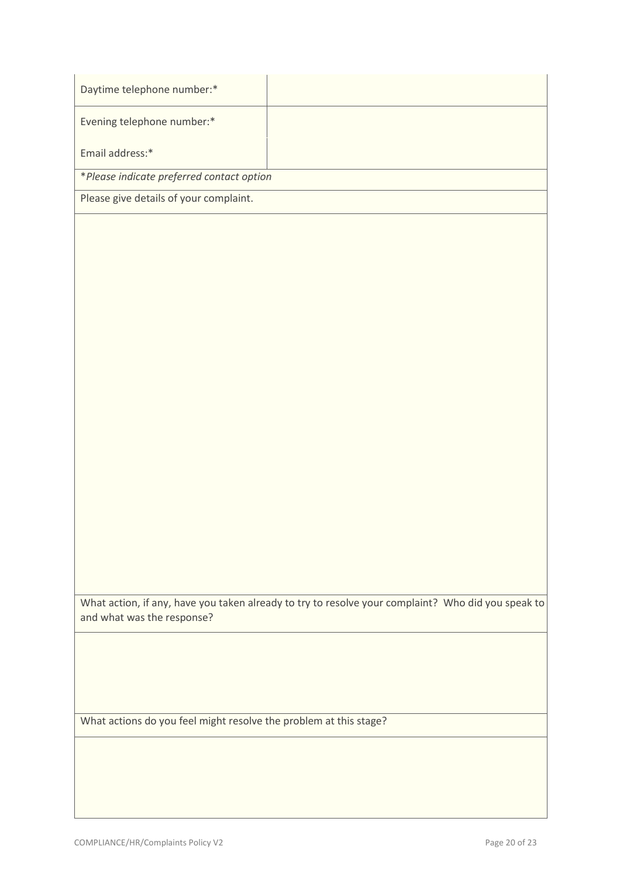| Daytime telephone number:*                                        |                                                                                                    |
|-------------------------------------------------------------------|----------------------------------------------------------------------------------------------------|
| Evening telephone number:*                                        |                                                                                                    |
| Email address:*                                                   |                                                                                                    |
| *Please indicate preferred contact option                         |                                                                                                    |
| Please give details of your complaint.                            |                                                                                                    |
|                                                                   |                                                                                                    |
|                                                                   |                                                                                                    |
|                                                                   |                                                                                                    |
|                                                                   |                                                                                                    |
|                                                                   |                                                                                                    |
|                                                                   |                                                                                                    |
|                                                                   |                                                                                                    |
|                                                                   |                                                                                                    |
|                                                                   |                                                                                                    |
|                                                                   |                                                                                                    |
|                                                                   |                                                                                                    |
|                                                                   |                                                                                                    |
|                                                                   |                                                                                                    |
|                                                                   |                                                                                                    |
|                                                                   |                                                                                                    |
|                                                                   |                                                                                                    |
|                                                                   |                                                                                                    |
|                                                                   |                                                                                                    |
| and what was the response?                                        | What action, if any, have you taken already to try to resolve your complaint? Who did you speak to |
|                                                                   |                                                                                                    |
|                                                                   |                                                                                                    |
|                                                                   |                                                                                                    |
|                                                                   |                                                                                                    |
| What actions do you feel might resolve the problem at this stage? |                                                                                                    |
|                                                                   |                                                                                                    |
|                                                                   |                                                                                                    |
|                                                                   |                                                                                                    |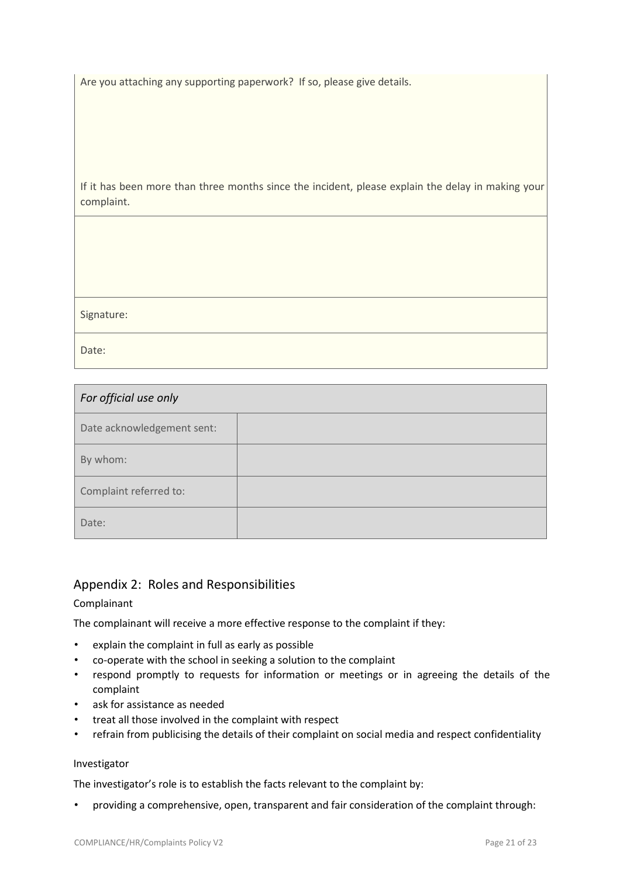Are you attaching any supporting paperwork? If so, please give details.

If it has been more than three months since the incident, please explain the delay in making your complaint.

Signature:

Date:

| For official use only      |  |
|----------------------------|--|
| Date acknowledgement sent: |  |
| By whom:                   |  |
| Complaint referred to:     |  |
| Date:                      |  |

# Appendix 2: Roles and Responsibilities

## Complainant

The complainant will receive a more effective response to the complaint if they:

- explain the complaint in full as early as possible
- co-operate with the school in seeking a solution to the complaint
- respond promptly to requests for information or meetings or in agreeing the details of the complaint
- ask for assistance as needed
- treat all those involved in the complaint with respect
- refrain from publicising the details of their complaint on social media and respect confidentiality

## Investigator

The investigator's role is to establish the facts relevant to the complaint by:

• providing a comprehensive, open, transparent and fair consideration of the complaint through: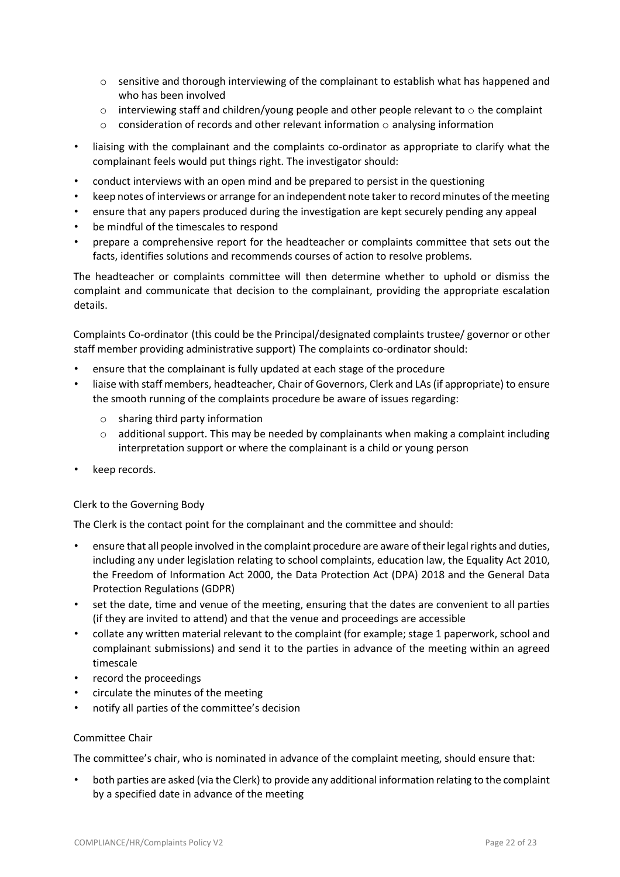- o sensitive and thorough interviewing of the complainant to establish what has happened and who has been involved
- $\circ$  interviewing staff and children/young people and other people relevant to  $\circ$  the complaint
- $\circ$  consideration of records and other relevant information  $\circ$  analysing information
- liaising with the complainant and the complaints co-ordinator as appropriate to clarify what the complainant feels would put things right. The investigator should:
- conduct interviews with an open mind and be prepared to persist in the questioning
- keep notes of interviews or arrange for an independent note taker to record minutes of the meeting
- ensure that any papers produced during the investigation are kept securely pending any appeal
- be mindful of the timescales to respond
- prepare a comprehensive report for the headteacher or complaints committee that sets out the facts, identifies solutions and recommends courses of action to resolve problems.

The headteacher or complaints committee will then determine whether to uphold or dismiss the complaint and communicate that decision to the complainant, providing the appropriate escalation details.

Complaints Co-ordinator (this could be the Principal/designated complaints trustee/ governor or other staff member providing administrative support) The complaints co-ordinator should:

- ensure that the complainant is fully updated at each stage of the procedure
- liaise with staff members, headteacher, Chair of Governors, Clerk and LAs (if appropriate) to ensure the smooth running of the complaints procedure be aware of issues regarding:
	- o sharing third party information
	- $\circ$  additional support. This may be needed by complainants when making a complaint including interpretation support or where the complainant is a child or young person
- keep records.

## Clerk to the Governing Body

The Clerk is the contact point for the complainant and the committee and should:

- ensure that all people involved in the complaint procedure are aware of their legal rights and duties, including any under legislation relating to school complaints, education law, the Equality Act 2010, the Freedom of Information Act 2000, the Data Protection Act (DPA) 2018 and the General Data Protection Regulations (GDPR)
- set the date, time and venue of the meeting, ensuring that the dates are convenient to all parties (if they are invited to attend) and that the venue and proceedings are accessible
- collate any written material relevant to the complaint (for example; stage 1 paperwork, school and complainant submissions) and send it to the parties in advance of the meeting within an agreed timescale
- record the proceedings
- circulate the minutes of the meeting
- notify all parties of the committee's decision

#### Committee Chair

The committee's chair, who is nominated in advance of the complaint meeting, should ensure that:

• both parties are asked (via the Clerk) to provide any additional information relating to the complaint by a specified date in advance of the meeting